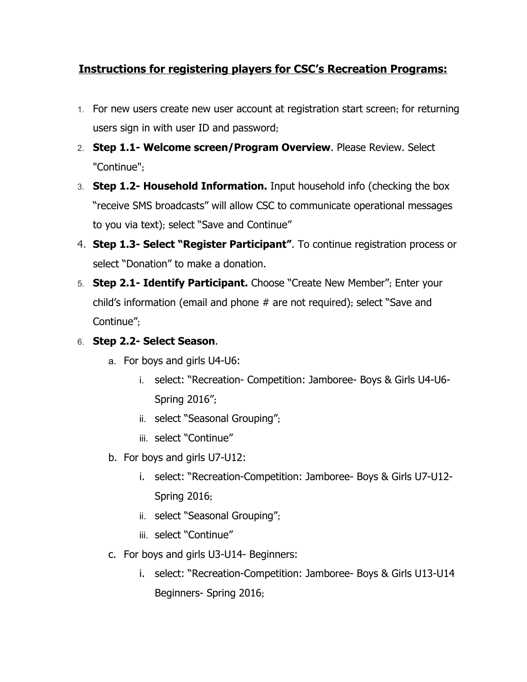## **Instructions for registering players for CSC's Recreation Programs:**

- 1. For new users create new user account at registration start screen; for returning users sign in with user ID and password;
- 2. **Step 1.1 Welcome screen/Program Overview**. Please Review. Select "Continue";
- 3. **Step 1.2 Household Information.**Input household info (checking the box "receive SMS broadcasts" will allow CSC to communicate operational messages to you via text); select "Save and Continue"
- 4. **Step 1.3 Select "Register Participant"**. To continue registration process or select "Donation" to make a donation.
- 5. **Step 2.1 Identify Participant.**Choose "Create New Member"; Enter your child's information (email and phone # are not required); select "Save and Continue";

## 6. **Step 2.2 Select Season**.

- a. For boys and girls U4-U6:
	- i. select: "Recreation- Competition: Jamboree- Boys & Girls U4-U6-Spring 2016";
	- ii. select "Seasonal Grouping";
	- iii. select "Continue"
- b. For boys and girls U7-U12:
	- i. select: "Recreation-Competition: Jamboree- Boys & Girls U7-U12-Spring 2016;
	- ii. select "Seasonal Grouping";
	- iii. select "Continue"
- c. For boys and girls U3-U14- Beginners:
	- i. select: "Recreation-Competition: Jamboree- Boys & Girls U13-U14 Beginners- Spring 2016;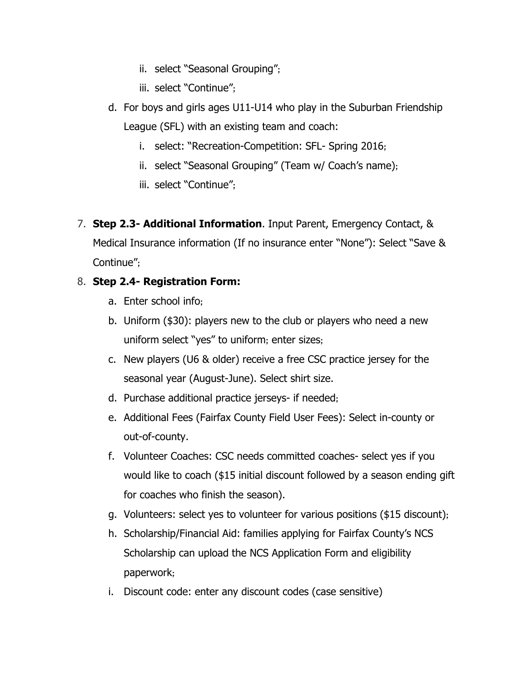- ii. select "Seasonal Grouping";
- iii. select "Continue";
- d. For boys and girls ages  $U11-U14$  who play in the Suburban Friendship League (SFL) with an existing team and coach:
	- i. select: "Recreation-Competition: SFL- Spring 2016;
	- ii. select "Seasonal Grouping" (Team w/ Coach's name);
	- iii. select "Continue";
- 7. **Step 2.3 Additional Information**. Input Parent, Emergency Contact, & Medical Insurance information (If no insurance enter "None"): Select "Save & Continue";

## 8. **Step 2.4 Registration Form:**

- a. Enter school info;
- b. Uniform (\$30): players new to the club or players who need a new uniform select "yes" to uniform; enter sizes;
- c. New players (U6 & older) receive a free CSC practice jersey for the seasonal year (August-June). Select shirt size.
- d. Purchase additional practice jerseys- if needed;
- e. Additional Fees (Fairfax County Field User Fees): Select in-county or out-of-county.
- f. Volunteer Coaches: CSC needs committed coaches- select yes if you would like to coach (\$15 initial discount followed by a season ending gift for coaches who finish the season).
- g. Volunteers: select yes to volunteer for various positions (\$15 discount);
- h. Scholarship/Financial Aid: families applying for Fairfax County's NCS Scholarship can upload the NCS Application Form and eligibility paperwork;
- i. Discount code: enter any discount codes (case sensitive)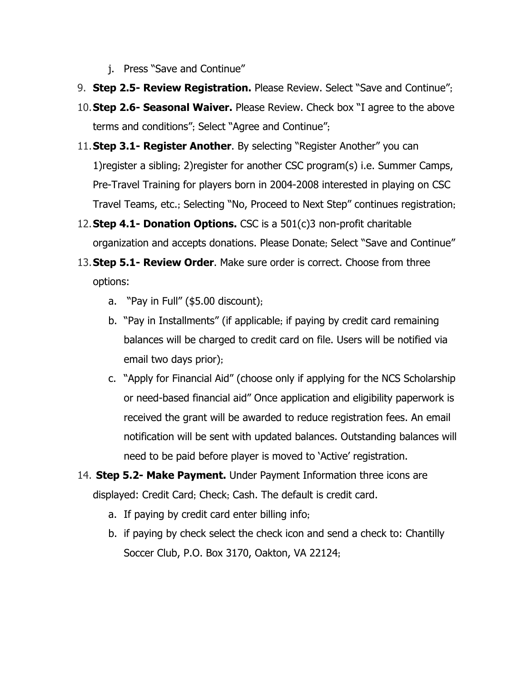- j. Press "Save and Continue"
- 9. **Step 2.5 Review Registration.**Please Review. Select "Save and Continue";
- 10.**Step 2.6 Seasonal Waiver.**Please Review. Check box "I agree to the above terms and conditions"; Select "Agree and Continue";
- 11.**Step 3.1 Register Another**. By selecting "Register Another" you can 1)register a sibling; 2)register for another CSC program(s) i.e. Summer Camps, Pre-Travel Training for players born in 2004-2008 interested in playing on CSC Travel Teams, etc.; Selecting "No, Proceed to Next Step" continues registration;
- 12. **Step 4.1 Donation Options.** CSC is a 501(c)3 non-profit charitable organization and accepts donations. Please Donate; Select "Save and Continue"
- 13.**Step 5.1 Review Order**. Make sure order is correct. Choose from three options:
	- a. "Pay in Full" (\$5.00 discount);
	- b. "Pay in Installments" (if applicable; if paying by credit card remaining balances will be charged to credit card on file. Users will be notified via email two days prior);
	- c. "Apply for Financial Aid" (choose only if applying for the NCS Scholarship or need-based financial aid" Once application and eligibility paperwork is received the grant will be awarded to reduce registration fees. An email notification will be sent with updated balances. Outstanding balances will need to be paid before player is moved to 'Active' registration.
- 14. **Step 5.2 Make Payment.**Under Payment Information three icons are displayed: Credit Card; Check; Cash. The default is credit card.
	- a. If paying by credit card enter billing info;
	- b. if paying by check select the check icon and send a check to: Chantilly Soccer Club, P.O. Box 3170, Oakton, VA 22124;